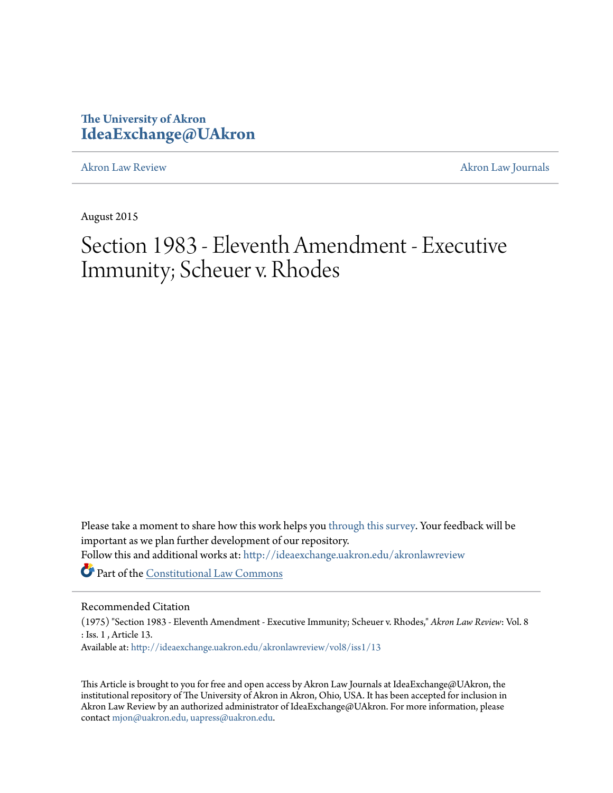## **The University of Akron [IdeaExchange@UAkron](http://ideaexchange.uakron.edu?utm_source=ideaexchange.uakron.edu%2Fakronlawreview%2Fvol8%2Fiss1%2F13&utm_medium=PDF&utm_campaign=PDFCoverPages)**

[Akron Law Review](http://ideaexchange.uakron.edu/akronlawreview?utm_source=ideaexchange.uakron.edu%2Fakronlawreview%2Fvol8%2Fiss1%2F13&utm_medium=PDF&utm_campaign=PDFCoverPages) [Akron Law Journals](http://ideaexchange.uakron.edu/akronlawjournals?utm_source=ideaexchange.uakron.edu%2Fakronlawreview%2Fvol8%2Fiss1%2F13&utm_medium=PDF&utm_campaign=PDFCoverPages)

August 2015

# Section 1983 - Eleventh Amendment - Executive Immunity; Scheuer v. Rhodes

Please take a moment to share how this work helps you [through this survey.](http://survey.az1.qualtrics.com/SE/?SID=SV_eEVH54oiCbOw05f&URL=http://ideaexchange.uakron.edu/akronlawreview/vol8/iss1/13) Your feedback will be important as we plan further development of our repository. Follow this and additional works at: [http://ideaexchange.uakron.edu/akronlawreview](http://ideaexchange.uakron.edu/akronlawreview?utm_source=ideaexchange.uakron.edu%2Fakronlawreview%2Fvol8%2Fiss1%2F13&utm_medium=PDF&utm_campaign=PDFCoverPages)

Part of the [Constitutional Law Commons](http://network.bepress.com/hgg/discipline/589?utm_source=ideaexchange.uakron.edu%2Fakronlawreview%2Fvol8%2Fiss1%2F13&utm_medium=PDF&utm_campaign=PDFCoverPages)

### Recommended Citation

(1975) "Section 1983 - Eleventh Amendment - Executive Immunity; Scheuer v. Rhodes," *Akron Law Review*: Vol. 8 : Iss. 1 , Article 13.

Available at: [http://ideaexchange.uakron.edu/akronlawreview/vol8/iss1/13](http://ideaexchange.uakron.edu/akronlawreview/vol8/iss1/13?utm_source=ideaexchange.uakron.edu%2Fakronlawreview%2Fvol8%2Fiss1%2F13&utm_medium=PDF&utm_campaign=PDFCoverPages)

This Article is brought to you for free and open access by Akron Law Journals at IdeaExchange@UAkron, the institutional repository of The University of Akron in Akron, Ohio, USA. It has been accepted for inclusion in Akron Law Review by an authorized administrator of IdeaExchange@UAkron. For more information, please contact [mjon@uakron.edu, uapress@uakron.edu.](mailto:mjon@uakron.edu,%20uapress@uakron.edu)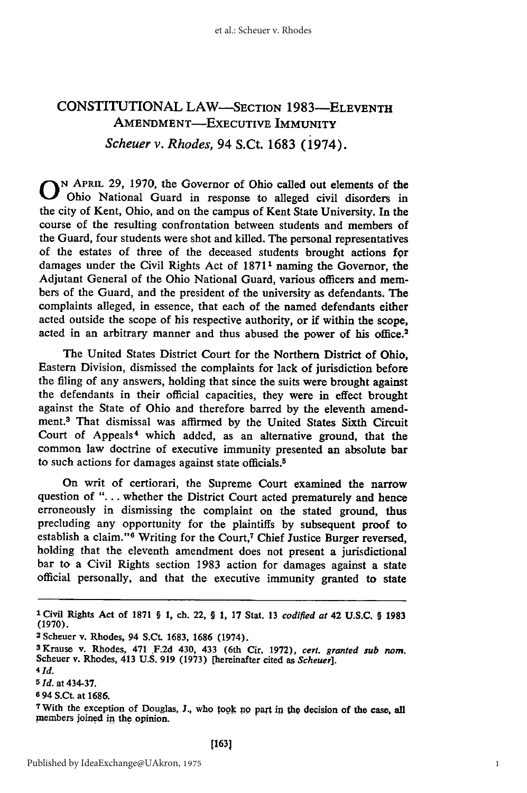## CONSTITUTIONAL LAW-SECTION **1983-ELEVENTH AMENDMENT-EXECUTIVE IMMUNITY** *Scheuer v. Rhodes, 94 S.Ct. 1683 (1974).*

**0** N APRIL 29, 1970, the Governor of Ohio called out elements of the Ohio National Guard in response to alleged civil disorders in the city of Kent, Ohio, and on the campus of Kent State University. In the course of the resulting confrontation between students and members of the Guard, four students were shot and killed. The personal representatives of the estates of three of the deceased students brought actions **for** damages under the Civil Rights Act of 1871<sup>1</sup> naming the Governor, the Adjutant General of the Ohio National Guard, various officers and members of the Guard, and the president of the university as defendants. The complaints alleged, in essence, that each of the named defendants either acted outside the scope of his respective authority, or if within the scope, acted in an arbitrary manner and thus abused the power of his office.<sup>2</sup>

The United States District Court for the Northern District of Ohio, Eastern Division, dismissed the complaints for lack of jurisdiction before the filing of any answers, holding that since the suits were brought against the defendants in their official capacities, they were in effect brought against the State of Ohio and therefore barred by the eleventh amendment.<sup>3</sup> That dismissal was affirmed by the United States Sixth Circuit Court of Appeals<sup>4</sup> which added, as an alternative ground, that the common law doctrine of executive immunity presented an absolute bar to such actions for damages against state officials. <sup>5</sup>

On writ of certiorari, the Supreme Court examined the narrow question of **"....** whether the District Court acted prematurely and hence erroneously in dismissing the complaint on the stated ground, thus precluding any opportunity for the plaintiffs by subsequent proof to establish a claim."<sup>6</sup> Writing for the Court,<sup>7</sup> Chief Justice Burger reversed, holding that the eleventh amendment does not present a jurisdictional bar to a Civil Rights section 1983 action for damages against a state official personally, and that the executive immunity granted to state

*41d.*

**I Civil Rights** Act of **1871** § **1,** ch. 22, **§ 1, 17** Stat. **13** *codified at* 42 **U.S.C. § 1983** (1970).

**<sup>2</sup>**Scheuer v. Rhodes, 94 S.Ct. **1683, 1686** (1974).

**<sup>3</sup>**Krause v. Rhodes, 471 F.2d 430, 433 (6th Cir. 1972), *cert. granted sub nom.* Scheuer v. Rhodes, 413 U.S. 919 (1973) [hereinafter cited as *Scheuer].*

**<sup>5</sup> Id.** at 434-37.

**<sup>6 94</sup> S.Ct. at 1686.**

**<sup>7</sup>** With the exception of Douglas, **J.,** who tooik **no** part **in the, decision** of **the case, all** members joined in the opinion.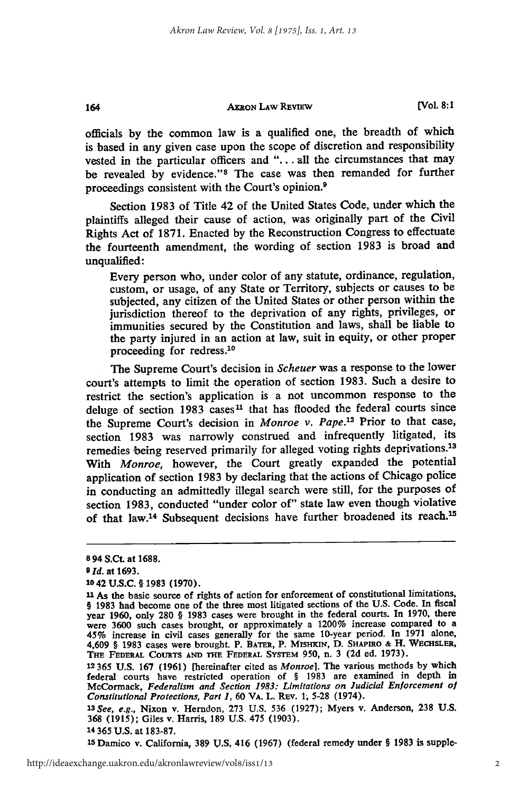#### **AKRON LAW REVIEW**

officials **by** the common law is a qualified one, the breadth of which is based in any given case upon the scope of discretion and responsibility vested in the particular officers and "... all the circumstances that may be revealed by evidence."<sup>8</sup> The case was then remanded for further proceedings consistent with the Court's opinion.9

Section 1983 of Title 42 of the United States Code, under which the plaintiffs alleged their cause of action, was originally part of the Civil Rights Act of 1871. Enacted by the Reconstruction Congress to effectuate the fourteenth amendment, the wording of section 1983 is broad and unqualified:

Every person who, under color of any statute, ordinance, regulation, custom, or usage, of any State or Territory, subjects or causes to be subjected, any citizen of the United States or other person within the jurisdiction thereof to the deprivation of any rights, privileges, or immunities secured by the Constitution and laws, shall be liable to the party injured in an action at law, suit in equity, or other proper proceeding for redress.<sup>10</sup>

The Supreme Court's decision in *Scheuer* was a response to the lower court's attempts to limit the operation of section 1983. Such a desire to restrict the section's application is a not uncommon response to the deluge of section 1983 cases<sup>11</sup> that has flooded the federal courts since the Supreme Court's decision in *Monroe v. Pape."* Prior to that case, section 1983 was narrowly construed and infrequently litigated, its remedies being reserved primarily for alleged voting rights deprivations.<sup>13</sup> With *Monroe,* however, the Court greatly expanded the potential application of section 1983 by declaring that the actions of Chicago police in conducting an admittedly illegal search were still, for the purposes of section 1983, conducted "under color of" state law even though violative of that law.<sup>14</sup> Subsequent decisions have further broadened its reach.<sup>15</sup>

164

**<sup>10</sup>42 U.S.C.** § **1983 (1970).**

**<sup>15</sup>**Damico v. California, **389 U.S.** 416 **(1967)** (federal remedy under § **1983** is supple-

**<sup>8</sup> 94** S.Ct. at **1688.**

**<sup>9</sup> Id.** at **1693.**

**<sup>11</sup>** As the basic source of rights of action for enforcement of constitutional limitations, § **1983** had become one of the three most litigated sections of the **U.S.** Code. In fiscal year **1960,** only **280** § **1983** cases were brought in the federal courts. In **1970,** there were 3600 such cases brought, or approximately a 1200% increase compared to a<br>45% increase in civil cases generally for the same 10-year period. In 1971 alone,<br>4,609 § 1983 cases were brought. P. BATER, P. MISHKIN, D. SHAP **THE** FEDERAL **COURTS AND ThE FEDERAL SYSTEM 950,** n. **3 (2d** ed. **1973).**

<sup>12</sup> **365 U.S. 167 (1961)** [hereinafter cited as Monroe]. The various methods **by** which federal courts have restricted operation of § **1983** are examined in depth in McCormack, *Federalism and Section 1983: Limitations on Judicial Enforcement of Constitutional Protections, Part 1,* **60** VA. L. REv. **1, 5-28** (1974).

*lSee,* e.g., Nixon v. Herndon, **273 U.S. 536 (1927);** Myers v. Anderson, **238 U.S. 368 (1915);** Giles v. Harris, **189 U.S.** 475 **(1903).**

<sup>14</sup> **365 U.S.** at **183-87.**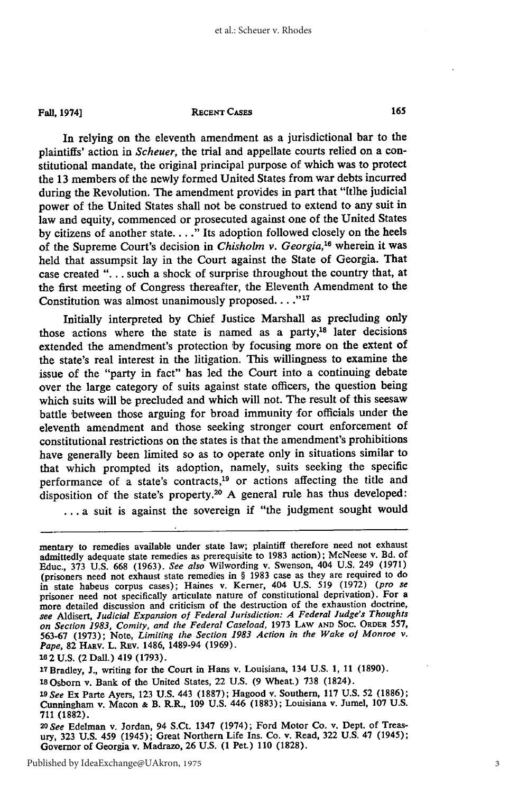**Fall, 1974]**

#### **RECENT CASES**

In relying on the eleventh amendment as a jurisdictional bar to the plaintiffs' action in *Scheuer,* the trial and appellate courts relied on a constitutional mandate, the original principal purpose of which was to protect the 13 members of the newly formed United States from war debts incurred during the Revolution. The amendment provides in part that "[t] he judicial power of the United States shall not be construed to extend to any suit in law and equity, commenced or prosecuted against one of the United States by citizens of another state **.. "** Its adoption followed closely on the heels of the Supreme Court's decision in *Chisholm v. Georgia*,<sup>16</sup> wherein it was held that assumpsit lay in the Court against the State of Georgia. That case created **"..** .such a shock of surprise throughout the country that, at the first meeting of Congress thereafter, the Eleventh Amendment to the Constitution was almost unanimously proposed. . . . "<sup>17</sup>

Initially interpreted by Chief Justice Marshall as precluding only those actions where the state is named as a party, $18$  later decisions extended the amendment's protection by focusing more on the extent of the state's real interest in the litigation. This willingness to examine the issue of the "party in fact" has led the Court into a continuing debate over the large category of suits against state officers, the question being which suits will be precluded and which will not. The result of this seesaw battle between those arguing for broad immunity for officials under the eleventh amendment and those seeking stronger court enforcement of constitutional restrictions on the states is that the amendment's prohibitions have generally been limited so as to operate only in situations similar to that which prompted its adoption, namely, suits seeking the specific performance of a state's contracts,<sup>19</sup> or actions affecting the title and disposition of the state's property.20 A general rule has thus developed:

... a suit is against the sovereign if "the judgment sought would

**<sup>17</sup>**Bradley, **J.,** writing for the Court in Hans v. Louisiana, 134 **U.S. 1, 11 (1890).**

1SOsborn v. Bank of the United States, 22 **U.S. (9** Wheat.) **738** (1824).

**20** *See* Edelman v. Jordan, 94 S.Ct. 1347 (1974); Ford Motor Co. v. Dept. of Treasury, 323 U.S. 459 (1945); Great Northern Life Ins. Co. v. Read, 322 U.S. 47 (1945); Governor of Georgia v. Madrazo, 26 U.S. (1 Pet.) 110 (1828).

mentary to remedies available under state law; plaintiff therefore need not exhaust admittedly adequate state remedies as prerequisite to 1983 action); McNeese v. Bd. of Educ., 373 U.S. 668 (1963). *See also* Wilwording v. Swenson, 404 U.S. 249 (1971) (prisoners need not exhaust state remedies in § 1983 case as they are required to do in state habeus corpus cases); Haines v. Kerner, 404 U.S. 519 (1972) *(pro se* prisoner need not specifically articulate nature of constitutional deprivation). For a more detailed discussion and criticism of the destruction of the exhaustion doctrine, *see* Aldisert, *Judicial Expansion of Federal Jurisdiction: A Federal Judge's Thoughts on Section 1983, Comity, and the Federal Caseload,* 1973 LAW **AND** SOC. **ORDER** 557, 563-67 (1973); Note, *Limiting the Section 1983 Action in the Wake of Monroe v. Pape,* 82 HARV. L. REv. 1486, 1489-94 (1969).

**<sup>162</sup> U.S.** (2 Dall.) 419 **(1793).**

*<sup>19</sup>See* Ex Parte Ayers, **123 U.S.** 443 **(1887);** Hagood v. Southern, **117 U.S. 52 (1886);** Cunningham v. Macon **&** B. R.R., **109 U.S.** 446 **(1883);** Louisiana v. Jumel, **107 U.S. 711 (1882).**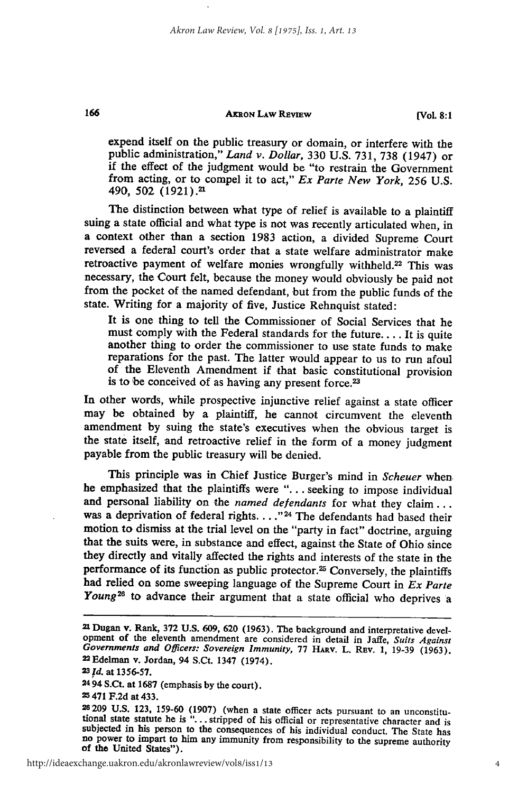#### **AKRON LAW REVIEW**

**[Vol. 8:1**

expend itself on the public treasury or domain, or interfere with the public administration," *Land v. Dollar,* 330 U.S. 731, 738 (1947) or if the effect of the judgment would be "to restrain the Government from acting, or to compel it to act," *Ex* Parte *New York, 256* U.S. 490, 502 (1921).<sup>21</sup>

The distinction between what type of relief is available to a plaintiff suing a state official and what type is not was recently articulated when, in a context other than a section 1983 action, a divided Supreme Court reversed a federal court's order that a state welfare administrator make retroactive payment of welfare monies wrongfully withheld.<sup>22</sup> This was necessary, the Court felt, because the money would obviously be paid not from the pocket of the named defendant, but from the public funds of the state. Writing for a majority of five, Justice Rehnquist stated:

It is one thing to tell the Commissioner of Social Services that he must comply with the Federal standards for the future.... It is quite another thing to order the commissioner to use state funds to make reparations for the past. The latter would appear to us to run afoul of the Eleventh Amendment if that basic constitutional provision is to be conceived of as having any present force.<sup>23</sup>

In other words, while prospective injunctive relief against a state officer may be obtained by a plaintiff, he cannot circumvent the eleventh amendment by suing the state's executives when the obvious target is the state itself, and retroactive relief in the form of a money judgment payable from the public treasury will be denied.

This principle was in Chief Justice Burger's mind in *Scheuer* when he emphasized that the plaintiffs were "... seeking to impose individual and personal liability on the *named defendants* for what they claim... was a deprivation of federal rights. . . .<sup>"24</sup> The defendants had based their motion to dismiss at the trial level on the "party in fact" doctrine, arguing that the suits were, in substance and effect, against the State of Ohio since they directly and vitally affected the rights and interests of the state in the performance of its function as public protector.<sup>25</sup> Conversely, the plaintiffs had relied on some sweeping language of the Supreme Court in *Ex Parte* Young<sup>26</sup> to advance their argument that a state official who deprives a

166

**2494** S.Ct. at 1687 (emphasis by the court).

**25471** F.2d at 433.

**<sup>21</sup>** Dugan v. Rank, 372 U.S. 609, 620 (1963). The background and interpretative development of the eleventh amendment are considered in detail in Jaffe, Suits Against Governments and Officers: Sovereign Immunity, 77 HARV. L. REV. 1, 19-39 (1963). 22 Edelman v. Jordan, 94 S.Ct. 1347 (1974).

**<sup>23</sup>***Id.* at 1356-57.

<sup>26209</sup> U.S. **123,** 159-60 (1907) (when a state officer acts pursuant to an unconstitutional state statute he is **"...** stripped of his official or representative character and is subjected in his person to the consequences of his individual conduct. The State has no power to impart to him any immunity from responsibility to the supreme authority of the United States").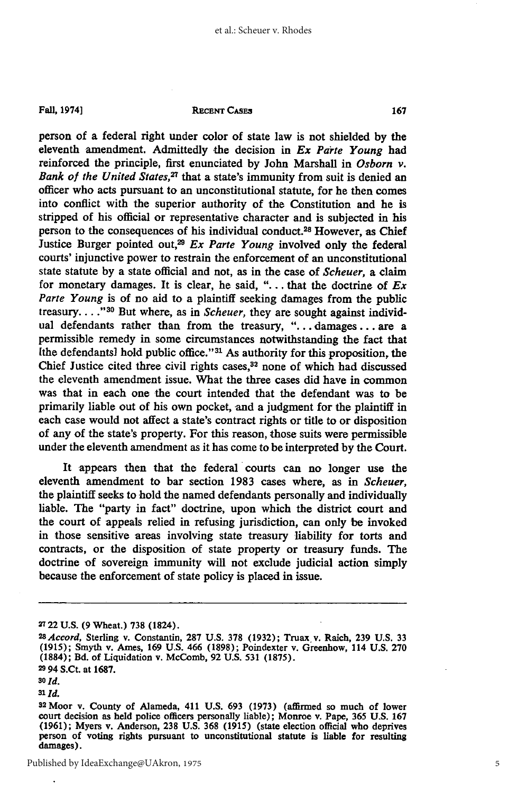**Fall, 1974]**

#### **RECENT CASE3**

person of a federal right under color of state law is not shielded **by** the eleventh amendment. Admittedly the decision in *Ex Parte Young* had reinforced the principle, first enunciated **by** John Marshall in *Osborn v. Bank of the United States,27* that a state's immunity from suit is denied an officer who acts pursuant to an unconstitutional statute, for he then comes into conflict with the superior authority of the Constitution and he is stripped of his official or representative character and is subjected in his person to the consequences of his individual conduct.28 However, as Chief Justice Burger pointed out,29 *Ex Parte Young* involved only the federal courts' injunctive power to restrain the enforcement of an unconstitutional state statute **by** a state official and not, as in the case of *Scheuer,* a claim for monetary damages. It is clear, he said, **". . .** that the doctrine of *Ex* Parte Young is of no aid to a plaintiff seeking damages from the public treasury. . . ."<sup>30</sup> But where, as in *Scheuer*, they are sought against individual defendants rather than from the treasury, **"....** damages **...** are a permissible remedy in some circumstances notwithstanding the fact that  $[the$  defendants] hold public office." $31$  As authority for this proposition, the Chief Justice cited three civil rights cases,<sup>32</sup> none of which had discussed the eleventh amendment issue. What the three cases did have in common was that in each one the court intended that the defendant was to be primarily liable out of his own pocket, and a judgment for the plaintiff in each case would not affect a state's contract rights or title to or disposition of any of the state's property. For this reason, those suits were permissible under the eleventh amendment as it has come to be interpreted **by** the Court.

It appears then that the federal courts can no longer use the eleventh amendment to bar section **1983** cases where, as in *Scheuer,* the plaintiff seeks to hold the named defendants personally and individually liable. The "party in fact" doctrine, upon which the district court and the court of appeals relied in refusing jurisdiction, can only be invoked in those sensitive areas involving state treasury liability for torts and contracts, or the disposition of state property or treasury funds. The doctrine of sovereign immunity will not exclude judicial action simply because the enforcement of state policy is placed in issue.

**<sup>27</sup>**22 **U.S. (9** Wheat.) **738** (1824).

*<sup>28</sup> Accord,* Sterling v. Constantin, **287 U.S. 378 (1932);** Truax v. Raich, **239 U.S. 33 (1915);** Smyth v. Ames, **169 U.S.** 466 **(1898);** Poindexter v. Greenhow, 114 **U.S. 270 (1884);** Bd. of Liquidation v. McComb, **92 U.S. 531 (1875). 2994** S.Ct. at **1687.**

**<sup>30</sup>** *Id.*

**<sup>3&#</sup>x27;** *Id.*

**<sup>32</sup>**Moor v. County of Alameda, 411 **U.S. 693 (1973)** (affirmed so much of lower court decision as held police officers personally liable); Monroe v. Pape, **365 U.S. 167 (1961);** Myers v. Anderson, **238 U.S. 368 (1915)** (state election official who deprives person of voting rights pursuant to unconstitutional statute is liable for resulting damages).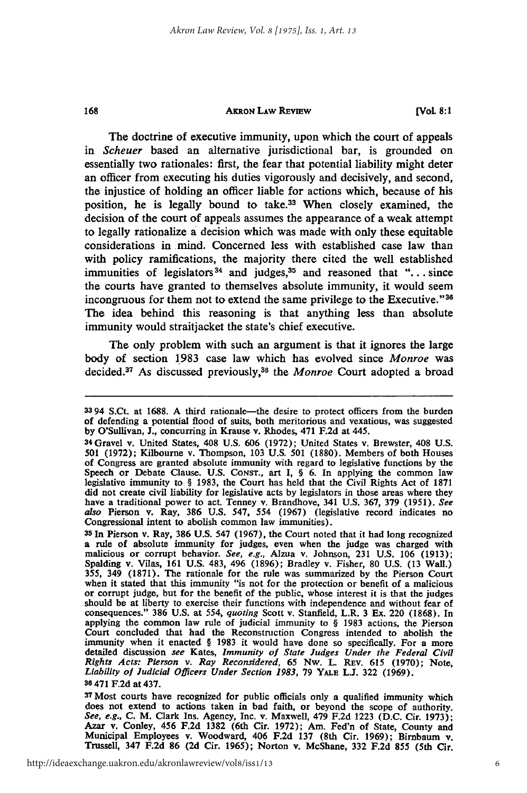#### **AKRON LAW REVEW**

The doctrine of executive immunity, upon which the court of appeals in *Scheuer* based an alternative jurisdictional bar, is grounded on essentially two rationales: first, the fear that potential liability might deter an officer from executing his duties vigorously and decisively, and second, the injustice of holding an officer liable for actions which, because of his position, he is legally bound to take.<sup>33</sup> When closely examined, the decision of the court of appeals assumes the appearance of a weak attempt to legally rationalize a decision which was made with only these equitable considerations in mind. Concerned less with established case law than with policy ramifications, the majority there cited the well established immunities of legislators<sup>34</sup> and judges,<sup>35</sup> and reasoned that "... since the courts have granted to themselves absolute immunity, it would seem incongruous for them not to extend the same privilege to the Executive."<sup>36</sup> The idea behind this reasoning is that anything less than absolute immunity would straitjacket the state's chief executive.

The only problem with such an argument is that it ignores the large body of section **1983** case law which has evolved since *Monroe* was decided.<sup>37</sup> As discussed previously,<sup>38</sup> the *Monroe* Court adopted a broad

168

**<sup>37</sup>Most** courts have recognized for public officials only a qualified immunity which does not extend to actions taken in bad faith, or beyond the scope of authority. *See, e.g.,* **C.** M. Clark Ins. Agency, Inc. v. Maxwell, 479 **F.2d 1223 (D.C.** Cir. **1973);** Azar v. Conley, 456 **F.2d 1382** (6th Cir. **1972);** Am. Fed'n of State, County and Municipal Employees v. Woodward, 406 **F.2d 137** (8th Cir. **1969);** Birnbaum **v.** Trussell, 347 **F.2d 86 (2d** Cir. **1965);** Norton v. McShane, **332 F.2d 855** (5th Cir.

**<sup>33</sup>**94 S.Ct. at **1688. A** third rationale-the desire to protect officers from the burden of defending a potential flood of suits, both meritorious and vexatious, was suggested **by** O'Sullivan, **J.,** concurring in Krause v. Rhodes, 471 **F.2d** at 445. <sup>34</sup> Gravel v. United States, 408 **U.S. 606 (1972);** United States v. Brewster, 408 **U.S.**

**<sup>501 (1972);</sup>** Kilbourne v. Thompson, **103 U.S. 501 (1880).** Members of both Houses of Congress are granted absolute immunity with regard to legislative functions **by** the Speech or Debate Clause. **U.S. CONST.,** art **I,** § **6.** In applying the common law legislative immunity to **§ 1983,** the Court has held that the Civil Rights Act of 1871 did not create civil liability for legislative acts **by** legislators in those areas where they have a traditional power to act. Tenney v. Brandhove, 341 **U.S. 367, 379 (1951).** *See also* Pierson v. Ray, **386 U.S.** 547, 554 **(1967)** (legislative record indicates no Congressional intent to abolish common law immunities).

**<sup>35</sup>**In Pierson v. Ray, **386 U.S.** 547 **(1967),** the Court noted that it had long recognized a rule of absolute immunity for judges, even when the judge was charged with malicious or corrupt behavior. *See, e.g.,* Alzua v. Johnson, **231 U.S. 106 (1913);** Spalding v. Vilas, **161 U.S.** 483, 496 **(1896);** Bradley v. Fisher, **80 U.S. (13** Wall.) **355,** 349 **(1871).** The rationale for the rule was summarized **by** the Pierson Court when it stated that this immunity "is not for the protection or benefit of a malicious or corrupt judge, but for the benefit of the public, whose interest it is that the judges should be at liberty to exercise their functions with independence and without fear of consequences." 386 U.S. at 554, *quoting* Scott v. Stanfield, L.R. 3 Ex. 220 (1868). In applying the common law rule of judicial immuni Court concluded that had the Reconstruction Congress intended to abolish the immunity when it enacted § **1983** it would have done so specifically. For a more detailed discussion *see* Kates, *Immunity of State Judges Under the Federal Civil Rights Acts: Pierson v. Ray Reconsidered,* **65** Nw. L REv. **615 (1970);** Note, *Liability of Judicial Officers Under Section 1983,* **79** YALE **L.J. 322 (1969).**

**<sup>36</sup>**471 **F.2d** at 437.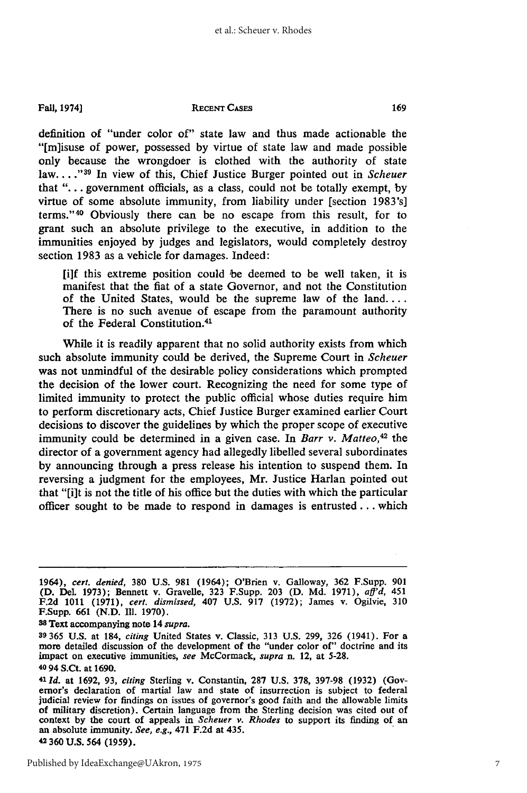**Fall, 1974]**

#### **RECENT CASES**

definition of "under color of" state law and thus made actionable the "[m]isuse of power, possessed by virtue of state law and made possible only because the wrongdoer is clothed with the authority of state law ...."<sup>39</sup> In view of this, Chief Justice Burger pointed out in *Scheuer* that **"....** government officials, as a class, could not be totally exempt, by virtue of some absolute immunity, from liability under [section 1983's] terms."<sup>40</sup> Obviously there can be no escape from this result, for to grant such an absolute privilege to the executive, in addition to the immunities enjoyed by judges and legislators, would completely destroy section 1983 as a vehicle for damages. Indeed:

[i]f this extreme position could be deemed to be well taken, it is manifest that the fiat of a state Governor, and not the Constitution of the United States, would be the supreme law of the land.... There is no such avenue of escape from the paramount authority of the Federal Constitution.<sup>41</sup>

While it is readily apparent that no solid authority exists from which such absolute immunity could be derived, the Supreme Court in *Scheuer* was not unmindful of the desirable policy considerations which prompted the decision of the lower court. Recognizing the need for some type of limited immunity to protect the public official whose duties require him to perform discretionary acts, Chief Justice Burger examined earlier Court decisions to discover the guidelines by which the proper scope of executive immunity could be determined in a given case. In *Barr v. Matteo*,<sup>42</sup> the director of a government agency had allegedly libelled several subordinates by announcing through a press release his intention to suspend them. In reversing a judgment for the employees, Mr. Justice Harlan pointed out that "[i]t is not the title of his office but the duties with which the particular officer sought to be made to respond in damages is entrusted... which

**3** Text accompanying note 14 *supra.*

<sup>1964),</sup> *cert. denied,* 380 U.S. 981 (1964); O'Brien v. Galloway, **362** F.Supp. 901 (D. Del. 1973); Bennett v. Gravelle, 323 F.Supp. 203 (D. Md. 1971), *aff'd,* 451 F.2d 1011 (1971), *cert. dismissed,* 407 U.S. 917 (1972); James v. Ogilvie, 310 F.Supp. **661** (N.D. l. 1970).

**<sup>39 365</sup> U.S.** at 184, *citing* United States v. Classic, **313 U.S. 299, 326** (1941). For a more detailed discussion of the development of the "under color of" doctrine and its impact on executive immunities, *see* McCormack, *supra* n. 12, at **5-28. 40 94** S.Ct. at **1690.**

<sup>4</sup> *Id.* at **1692, 93,** *citing* Sterling v. Constantin, **287 U.S. 378, 397-98 (1932)** (Governor's declaration of martial law and state of insurrection is subject to federal judicial review for findings on issues of governor's good faith and the allowable limits of military discretion). Certain language from the Sterling decision was cited out of context **by** the court of appeals in *Scheuer v. Rhodes* to support its finding of an an absolute immunity. *See, e.g.,* 471 **F.2d** at 435. **42360 U.S.** 564 **(1959).**